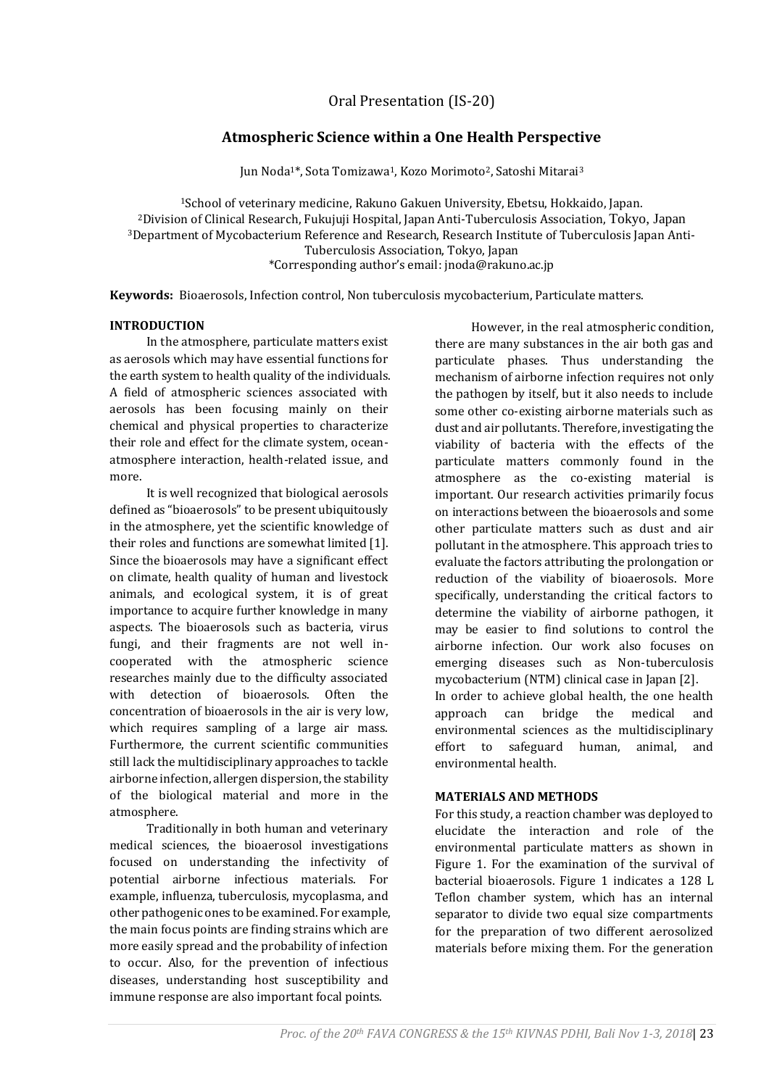# **Atmospheric Science within a One Health Perspective**

Jun Noda<sup>1\*</sup>, Sota Tomizawa<sup>1</sup>, Kozo Morimoto<sup>2</sup>, Satoshi Mitarai<sup>3</sup>

<sup>1</sup>School of veterinary medicine, Rakuno Gakuen University, Ebetsu, Hokkaido, Japan. <sup>2</sup>Division of Clinical Research, Fukujuji Hospital, Japan Anti-Tuberculosis Association, Tokyo, Japan <sup>3</sup>Department of Mycobacterium Reference and Research, Research Institute of Tuberculosis Japan Anti-Tuberculosis Association, Tokyo, Japan \*Corresponding author's email: jnoda@rakuno.ac.jp

**Keywords:** Bioaerosols, Infection control, Non tuberculosis mycobacterium, Particulate matters.

#### **INTRODUCTION**

In the atmosphere, particulate matters exist as aerosols which may have essential functions for the earth system to health quality of the individuals. A field of atmospheric sciences associated with aerosols has been focusing mainly on their chemical and physical properties to characterize their role and effect for the climate system, oceanatmosphere interaction, health-related issue, and more.

It is well recognized that biological aerosols defined as "bioaerosols" to be present ubiquitously in the atmosphere, yet the scientific knowledge of their roles and functions are somewhat limited [1]. Since the bioaerosols may have a significant effect on climate, health quality of human and livestock animals, and ecological system, it is of great importance to acquire further knowledge in many aspects. The bioaerosols such as bacteria, virus fungi, and their fragments are not well incooperated with the atmospheric science researches mainly due to the difficulty associated with detection of bioaerosols. Often the concentration of bioaerosols in the air is very low, which requires sampling of a large air mass. Furthermore, the current scientific communities still lack the multidisciplinary approaches to tackle airborne infection, allergen dispersion, the stability of the biological material and more in the atmosphere.

Traditionally in both human and veterinary medical sciences, the bioaerosol investigations focused on understanding the infectivity of potential airborne infectious materials. For example, influenza, tuberculosis, mycoplasma, and other pathogenic ones to be examined. For example, the main focus points are finding strains which are more easily spread and the probability of infection to occur. Also, for the prevention of infectious diseases, understanding host susceptibility and immune response are also important focal points.

However, in the real atmospheric condition, there are many substances in the air both gas and particulate phases. Thus understanding the mechanism of airborne infection requires not only the pathogen by itself, but it also needs to include some other co-existing airborne materials such as dust and air pollutants. Therefore, investigating the viability of bacteria with the effects of the particulate matters commonly found in the atmosphere as the co-existing material is important. Our research activities primarily focus on interactions between the bioaerosols and some other particulate matters such as dust and air pollutant in the atmosphere. This approach tries to evaluate the factors attributing the prolongation or reduction of the viability of bioaerosols. More specifically, understanding the critical factors to determine the viability of airborne pathogen, it may be easier to find solutions to control the airborne infection. Our work also focuses on emerging diseases such as Non-tuberculosis mycobacterium (NTM) clinical case in Japan [2]. In order to achieve global health, the one health approach can bridge the medical and environmental sciences as the multidisciplinary effort to safeguard human, animal, and environmental health.

### **MATERIALS AND METHODS**

For this study, a reaction chamber was deployed to elucidate the interaction and role of the environmental particulate matters as shown in Figure 1. For the examination of the survival of bacterial bioaerosols. Figure 1 indicates a 128 L Teflon chamber system, which has an internal separator to divide two equal size compartments for the preparation of two different aerosolized materials before mixing them. For the generation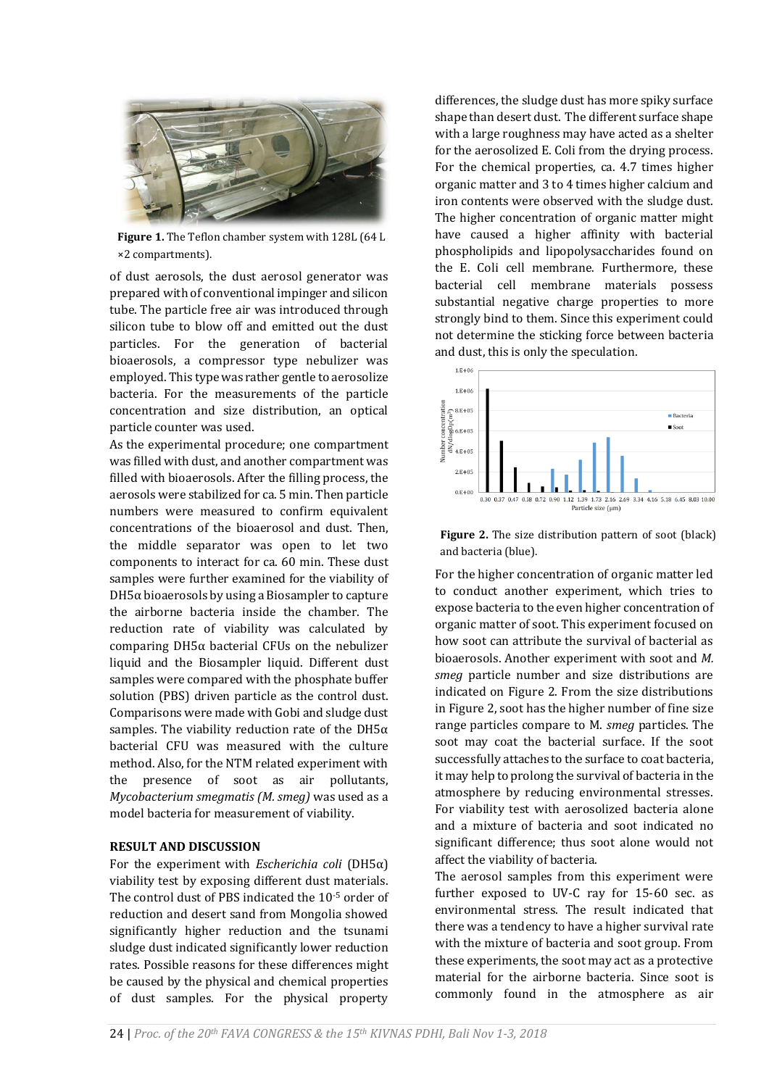

**Figure 1.** The Teflon chamber system with 128L (64 L ×2 compartments).

of dust aerosols, the dust aerosol generator was prepared with of conventional impinger and silicon tube. The particle free air was introduced through silicon tube to blow off and emitted out the dust particles. For the generation of bacterial bioaerosols, a compressor type nebulizer was employed. This type was rather gentle to aerosolize bacteria. For the measurements of the particle concentration and size distribution, an optical particle counter was used.

As the experimental procedure; one compartment was filled with dust, and another compartment was filled with bioaerosols. After the filling process, the aerosols were stabilized for ca. 5 min. Then particle numbers were measured to confirm equivalent concentrations of the bioaerosol and dust. Then, the middle separator was open to let two components to interact for ca. 60 min. These dust samples were further examined for the viability of  $DH5\alpha$  bioaerosols by using a Biosampler to capture the airborne bacteria inside the chamber. The reduction rate of viability was calculated by comparing DH5α bacterial CFUs on the nebulizer liquid and the Biosampler liquid. Different dust samples were compared with the phosphate buffer solution (PBS) driven particle as the control dust. Comparisons were made with Gobi and sludge dust samples. The viability reduction rate of the DH5 $\alpha$ bacterial CFU was measured with the culture method. Also, for the NTM related experiment with the presence of soot as air pollutants, *Mycobacterium smegmatis (M. smeg)* was used as a model bacteria for measurement of viability.

## **RESULT AND DISCUSSION**

For the experiment with *Escherichia coli* (DH5α) viability test by exposing different dust materials. The control dust of PBS indicated the 10-5 order of reduction and desert sand from Mongolia showed significantly higher reduction and the tsunami sludge dust indicated significantly lower reduction rates. Possible reasons for these differences might be caused by the physical and chemical properties of dust samples. For the physical property

differences, the sludge dust has more spiky surface shape than desert dust. The different surface shape with a large roughness may have acted as a shelter for the aerosolized E. Coli from the drying process. For the chemical properties, ca. 4.7 times higher organic matter and 3 to 4 times higher calcium and iron contents were observed with the sludge dust. The higher concentration of organic matter might have caused a higher affinity with bacterial phospholipids and lipopolysaccharides found on the E. Coli cell membrane. Furthermore, these bacterial cell membrane materials possess substantial negative charge properties to more strongly bind to them. Since this experiment could not determine the sticking force between bacteria and dust, this is only the speculation.



**Figure 2.** The size distribution pattern of soot (black) and bacteria (blue).

For the higher concentration of organic matter led to conduct another experiment, which tries to expose bacteria to the even higher concentration of organic matter of soot. This experiment focused on how soot can attribute the survival of bacterial as bioaerosols. Another experiment with soot and *M. smeg* particle number and size distributions are indicated on Figure 2. From the size distributions in Figure 2, soot has the higher number of fine size range particles compare to M. *smeg* particles. The soot may coat the bacterial surface. If the soot successfully attaches to the surface to coat bacteria, it may help to prolong the survival of bacteria in the atmosphere by reducing environmental stresses. For viability test with aerosolized bacteria alone and a mixture of bacteria and soot indicated no significant difference; thus soot alone would not affect the viability of bacteria.

The aerosol samples from this experiment were further exposed to UV-C ray for 15-60 sec. as environmental stress. The result indicated that there was a tendency to have a higher survival rate with the mixture of bacteria and soot group. From these experiments, the soot may act as a protective material for the airborne bacteria. Since soot is commonly found in the atmosphere as air